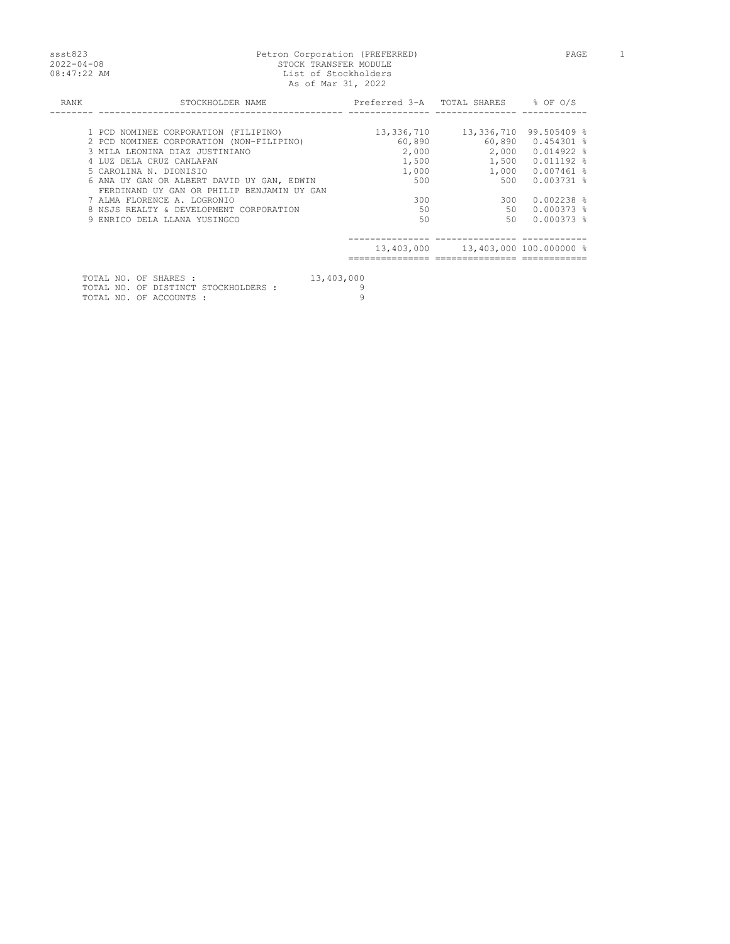## ssst823 Petron Corporation (PREFERRED) PAGE 1 2022-04-08 STOCK TRANSFER MODULE 08:47:22 AM List of Stockholders As of Mar 31, 2022

| RANK | STOCKHOLDER NAME                                                                         |            | Preferred 3-A TOTAL SHARES % OF O/S      |              |
|------|------------------------------------------------------------------------------------------|------------|------------------------------------------|--------------|
|      |                                                                                          |            |                                          |              |
|      | 1 PCD NOMINEE CORPORATION (FILIPINO)                                                     | 13,336,710 | 13,336,710                               | 99.505409 %  |
|      | 2 PCD NOMINEE CORPORATION (NON-FILIPINO)                                                 | 60,890     | 60,890                                   | $0.454301$ % |
|      | 3 MILA LEONINA DIAZ JUSTINIANO                                                           | 2,000      | 2,000                                    | 0.014922 %   |
|      | 4 LUZ DELA CRUZ CANLAPAN                                                                 | 1,500      | 1,500                                    | $0.011192$ % |
|      | 5 CAROLINA N. DIONISIO                                                                   | 1,000      | 1,000                                    | 0.007461 %   |
|      | 6 ANA UY GAN OR ALBERT DAVID UY GAN, EDWIN<br>FERDINAND UY GAN OR PHILIP BENJAMIN UY GAN | 500        | 500                                      | $0.003731$ % |
|      | 7 ALMA FLORENCE A. LOGRONIO                                                              | 300        | 300                                      | $0.002238$ % |
|      | 8 NSJS REALTY & DEVELOPMENT CORPORATION                                                  | 50         | 50                                       | $0.000373$ % |
|      | 9 ENRICO DELA LLANA YUSINGCO                                                             | 50         | 50                                       | $0.000373$ % |
|      |                                                                                          |            |                                          |              |
|      |                                                                                          |            | 13,403,000   13,403,000   100.000000   % |              |
|      | 13,403,000<br>TOTAL NO. OF SHARES :                                                      |            |                                          |              |

|  |  | TATITI NA AT ANIMAN     |                                      | 1011001000 |
|--|--|-------------------------|--------------------------------------|------------|
|  |  |                         | TOTAL NO. OF DISTINCT STOCKHOLDERS : |            |
|  |  | TOTAL NO. OF ACCOUNTS : |                                      |            |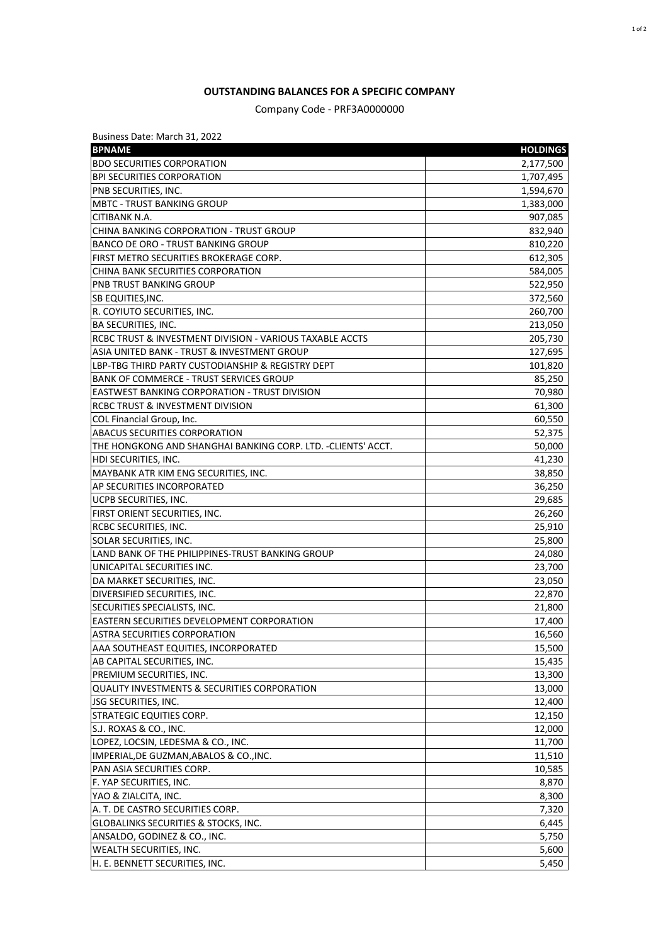## **OUTSTANDING BALANCES FOR A SPECIFIC COMPANY**

Company Code - PRF3A0000000

| Business Date: March 31, 2022                                 |                 |
|---------------------------------------------------------------|-----------------|
| <b>BPNAME</b>                                                 | <b>HOLDINGS</b> |
| <b>BDO SECURITIES CORPORATION</b>                             | 2,177,500       |
| <b>BPI SECURITIES CORPORATION</b>                             | 1,707,495       |
| PNB SECURITIES, INC.                                          | 1,594,670       |
| <b>MBTC - TRUST BANKING GROUP</b>                             | 1,383,000       |
| CITIBANK N.A.                                                 | 907,085         |
| CHINA BANKING CORPORATION - TRUST GROUP                       | 832,940         |
| <b>BANCO DE ORO - TRUST BANKING GROUP</b>                     | 810,220         |
| FIRST METRO SECURITIES BROKERAGE CORP.                        | 612,305         |
| CHINA BANK SECURITIES CORPORATION                             | 584,005         |
| <b>PNB TRUST BANKING GROUP</b>                                | 522,950         |
| <b>SB EQUITIES, INC.</b>                                      | 372,560         |
| R. COYIUTO SECURITIES, INC.                                   | 260,700         |
| <b>BA SECURITIES, INC.</b>                                    | 213,050         |
| RCBC TRUST & INVESTMENT DIVISION - VARIOUS TAXABLE ACCTS      | 205,730         |
| ASIA UNITED BANK - TRUST & INVESTMENT GROUP                   | 127,695         |
| LBP-TBG THIRD PARTY CUSTODIANSHIP & REGISTRY DEPT             | 101,820         |
| <b>BANK OF COMMERCE - TRUST SERVICES GROUP</b>                | 85,250          |
| <b>EASTWEST BANKING CORPORATION - TRUST DIVISION</b>          | 70,980          |
| <b>RCBC TRUST &amp; INVESTMENT DIVISION</b>                   | 61,300          |
| COL Financial Group, Inc.                                     | 60,550          |
| <b>ABACUS SECURITIES CORPORATION</b>                          | 52,375          |
| THE HONGKONG AND SHANGHAI BANKING CORP. LTD. - CLIENTS' ACCT. | 50,000          |
| HDI SECURITIES, INC.                                          | 41,230          |
| MAYBANK ATR KIM ENG SECURITIES, INC.                          | 38,850          |
| AP SECURITIES INCORPORATED                                    | 36,250          |
| UCPB SECURITIES, INC.                                         | 29,685          |
| FIRST ORIENT SECURITIES, INC.                                 | 26,260          |
| RCBC SECURITIES, INC.                                         | 25,910          |
| SOLAR SECURITIES, INC.                                        | 25,800          |
| LAND BANK OF THE PHILIPPINES-TRUST BANKING GROUP              | 24,080          |
| UNICAPITAL SECURITIES INC.                                    | 23,700          |
| DA MARKET SECURITIES, INC.                                    | 23,050          |
| DIVERSIFIED SECURITIES, INC.                                  | 22,870          |
| SECURITIES SPECIALISTS, INC.                                  | 21,800          |
| <b>EASTERN SECURITIES DEVELOPMENT CORPORATION</b>             | 17,400          |
| ASTRA SECURITIES CORPORATION                                  | 16,560          |
| AAA SOUTHEAST EQUITIES, INCORPORATED                          | 15,500          |
| AB CAPITAL SECURITIES, INC.                                   | 15,435          |
| PREMIUM SECURITIES, INC.                                      | 13,300          |
| <b>QUALITY INVESTMENTS &amp; SECURITIES CORPORATION</b>       | 13,000          |
| JSG SECURITIES, INC.                                          | 12,400          |
| STRATEGIC EQUITIES CORP.                                      | 12,150          |
| S.J. ROXAS & CO., INC.                                        |                 |
| LOPEZ, LOCSIN, LEDESMA & CO., INC.                            | 12,000          |
|                                                               | 11,700          |
| IMPERIAL, DE GUZMAN, ABALOS & CO., INC.                       | 11,510          |
| PAN ASIA SECURITIES CORP.                                     | 10,585          |
| F. YAP SECURITIES, INC.                                       | 8,870           |
| YAO & ZIALCITA, INC.                                          | 8,300           |
| A. T. DE CASTRO SECURITIES CORP.                              | 7,320           |
| GLOBALINKS SECURITIES & STOCKS, INC.                          | 6,445           |
| ANSALDO, GODINEZ & CO., INC.                                  | 5,750           |
| WEALTH SECURITIES, INC.                                       | 5,600           |
| H. E. BENNETT SECURITIES, INC.                                | 5,450           |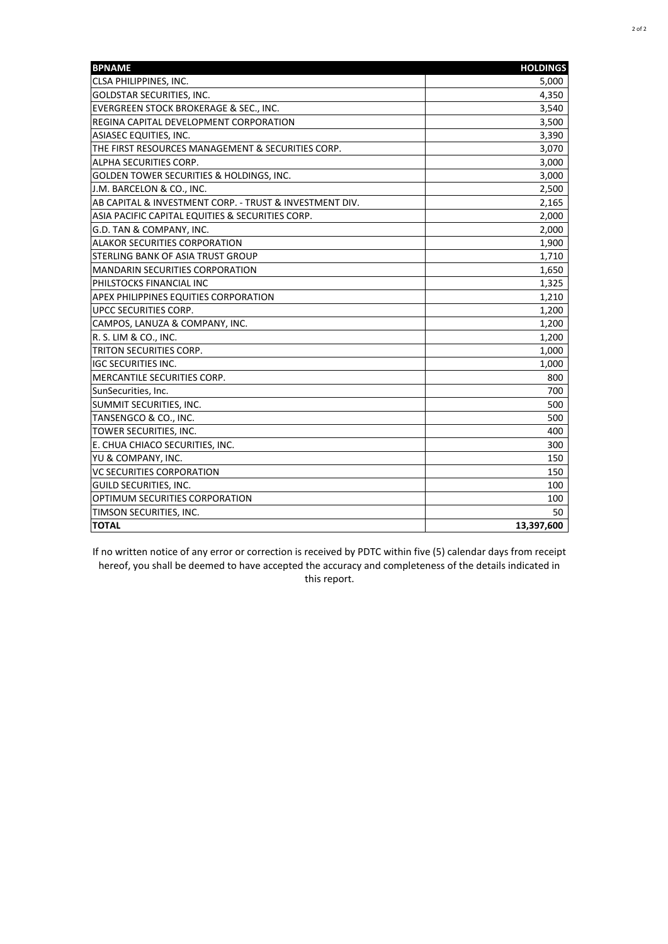| <b>BPNAME</b>                                           | <b>HOLDINGS</b> |
|---------------------------------------------------------|-----------------|
| CLSA PHILIPPINES, INC.                                  | 5,000           |
| <b>GOLDSTAR SECURITIES, INC.</b>                        | 4,350           |
| EVERGREEN STOCK BROKERAGE & SEC., INC.                  | 3,540           |
| REGINA CAPITAL DEVELOPMENT CORPORATION                  | 3,500           |
| ASIASEC EQUITIES, INC.                                  | 3,390           |
| THE FIRST RESOURCES MANAGEMENT & SECURITIES CORP.       | 3,070           |
| ALPHA SECURITIES CORP.                                  | 3,000           |
| GOLDEN TOWER SECURITIES & HOLDINGS, INC.                | 3,000           |
| J.M. BARCELON & CO., INC.                               | 2,500           |
| AB CAPITAL & INVESTMENT CORP. - TRUST & INVESTMENT DIV. | 2,165           |
| ASIA PACIFIC CAPITAL EQUITIES & SECURITIES CORP.        | 2,000           |
| G.D. TAN & COMPANY, INC.                                | 2,000           |
| ALAKOR SECURITIES CORPORATION                           | 1,900           |
| STERLING BANK OF ASIA TRUST GROUP                       | 1,710           |
| <b>MANDARIN SECURITIES CORPORATION</b>                  | 1,650           |
| PHILSTOCKS FINANCIAL INC                                | 1,325           |
| APEX PHILIPPINES EQUITIES CORPORATION                   | 1,210           |
| UPCC SECURITIES CORP.                                   | 1,200           |
| CAMPOS, LANUZA & COMPANY, INC.                          | 1,200           |
| R. S. LIM & CO., INC.                                   | 1,200           |
| TRITON SECURITIES CORP.                                 | 1,000           |
| <b>IGC SECURITIES INC.</b>                              | 1,000           |
| MERCANTILE SECURITIES CORP.                             | 800             |
| SunSecurities, Inc.                                     | 700             |
| SUMMIT SECURITIES, INC.                                 | 500             |
| TANSENGCO & CO., INC.                                   | 500             |
| TOWER SECURITIES, INC.                                  | 400             |
| E. CHUA CHIACO SECURITIES, INC.                         | 300             |
| YU & COMPANY, INC.                                      | 150             |
| <b>VC SECURITIES CORPORATION</b>                        | 150             |
| GUILD SECURITIES, INC.                                  | 100             |
| OPTIMUM SECURITIES CORPORATION                          | 100             |
| TIMSON SECURITIES, INC.                                 | 50              |
| <b>TOTAL</b>                                            | 13,397,600      |

If no written notice of any error or correction is received by PDTC within five (5) calendar days from receipt hereof, you shall be deemed to have accepted the accuracy and completeness of the details indicated in this report.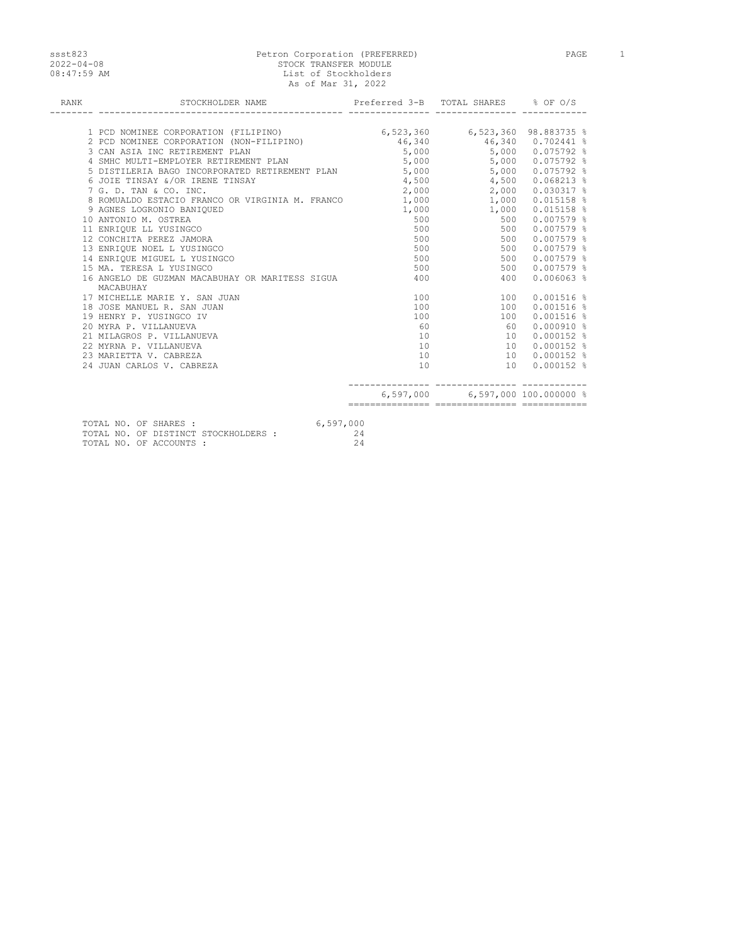## ssst823 Petron Corporation (PREFERRED) PAGE 1 2022-04-08 STOCK TRANSFER MODULE 08:47:59 AM List of Stockholders As of Mar 31, 2022

| MACABUHAY                  |                                                                                                                                                                                                                                                                                                         |                                                                                          |                                                                                                                                                                  |                                                                                                                                                                                                                                                                                                                                                                                                                                                                                                                                                                                                                                                                                                                                                                                                            |
|----------------------------|---------------------------------------------------------------------------------------------------------------------------------------------------------------------------------------------------------------------------------------------------------------------------------------------------------|------------------------------------------------------------------------------------------|------------------------------------------------------------------------------------------------------------------------------------------------------------------|------------------------------------------------------------------------------------------------------------------------------------------------------------------------------------------------------------------------------------------------------------------------------------------------------------------------------------------------------------------------------------------------------------------------------------------------------------------------------------------------------------------------------------------------------------------------------------------------------------------------------------------------------------------------------------------------------------------------------------------------------------------------------------------------------------|
|                            |                                                                                                                                                                                                                                                                                                         |                                                                                          |                                                                                                                                                                  |                                                                                                                                                                                                                                                                                                                                                                                                                                                                                                                                                                                                                                                                                                                                                                                                            |
| 18 JOSE MANUEL R. SAN JUAN |                                                                                                                                                                                                                                                                                                         |                                                                                          |                                                                                                                                                                  |                                                                                                                                                                                                                                                                                                                                                                                                                                                                                                                                                                                                                                                                                                                                                                                                            |
| 19 HENRY P. YUSINGCO IV    |                                                                                                                                                                                                                                                                                                         |                                                                                          |                                                                                                                                                                  |                                                                                                                                                                                                                                                                                                                                                                                                                                                                                                                                                                                                                                                                                                                                                                                                            |
| 20 MYRA P. VILLANUEVA      | 60                                                                                                                                                                                                                                                                                                      |                                                                                          |                                                                                                                                                                  |                                                                                                                                                                                                                                                                                                                                                                                                                                                                                                                                                                                                                                                                                                                                                                                                            |
| 21 MILAGROS P. VILLANUEVA  |                                                                                                                                                                                                                                                                                                         |                                                                                          |                                                                                                                                                                  |                                                                                                                                                                                                                                                                                                                                                                                                                                                                                                                                                                                                                                                                                                                                                                                                            |
| 22 MYRNA P. VILLANUEVA     | 10                                                                                                                                                                                                                                                                                                      |                                                                                          |                                                                                                                                                                  |                                                                                                                                                                                                                                                                                                                                                                                                                                                                                                                                                                                                                                                                                                                                                                                                            |
| 23 MARIETTA V. CABREZA     | 10                                                                                                                                                                                                                                                                                                      |                                                                                          |                                                                                                                                                                  |                                                                                                                                                                                                                                                                                                                                                                                                                                                                                                                                                                                                                                                                                                                                                                                                            |
| 24 JUAN CARLOS V. CABREZA  | 10                                                                                                                                                                                                                                                                                                      |                                                                                          |                                                                                                                                                                  |                                                                                                                                                                                                                                                                                                                                                                                                                                                                                                                                                                                                                                                                                                                                                                                                            |
|                            |                                                                                                                                                                                                                                                                                                         |                                                                                          |                                                                                                                                                                  |                                                                                                                                                                                                                                                                                                                                                                                                                                                                                                                                                                                                                                                                                                                                                                                                            |
|                            | 3 CAN ASIA INC RETIREMENT PLAN<br>6 JOIE TINSAY &/OR IRENE TINSAY<br>9 AGNES LOGRONIO BANIQUED<br>10 ANTONIO M. OSTREA<br>11 ENRIQUE LL YUSINGCO<br>12 CONCHITA PEREZ JAMORA<br>13 ENRIQUE NOEL L YUSINGCO<br>14 ENRIOUE MIGUEL L YUSINGCO<br>15 MA. TERESA L YUSINGCO<br>17 MICHELLE MARIE Y. SAN JUAN | 4 SMHC MULTI-EMPLOYER RETIREMENT PLAN<br>16 ANGELO DE GUZMAN MACABUHAY OR MARITESS SIGUA | 7 G. D. TAN & CO. INC.<br>8 ROMUALDO ESTACIO FRANCO OR VIRGINIA M. FRANCO 1,000<br>500 000<br>500<br>500 000<br>500 000<br>500<br>400<br>100<br>100<br>100<br>10 | STOCKHOLDER NAME <b>STOCKHOLDER</b> NAME <b>STOCKHOLDER</b> NAME<br>1 PCD NOMINEE CORPORATION (FILIPINO) $6,523,360$ $6,523,360$ $6,523,360$ $98.883735$ $8$ 2 PCD NOMINEE CORPORATION (NON-FILIPINO) $46,340$ $46,340$ $0.702441$ $8$<br>$5,000$ $5,000$ $0.075792$ %<br>$5,000$ 5,000 0.075792 %<br>5 DISTILERIA BAGO INCORPORATED RETIREMENT PLAN 5,000 5,000 5,000 0.075792 %<br>4,500 4,500 0.068213 %<br>$2,000$ 0.030317 %<br>1,000 0.015158 %<br>$1,000$ $1,000$ $0.015158$ %<br>500 500<br>$0.007579$ %<br>500<br>$0.007579$ %<br>500<br>$0.007579$ %<br>500<br>$0.007579$ %<br>500 0.007579 %<br>500 0.007579 %<br>400<br>$0.006063$ %<br>$0.001516$ %<br>100<br>100 0.001516 %<br>$0.001516$ %<br>100<br>60<br>$0.000910$ %<br>10 0.000152 %<br>10 0.000152 %<br>10 0.000152 %<br>10 0.000152 % |

- TOTAL NO. OF ACCOUNTS : 24
-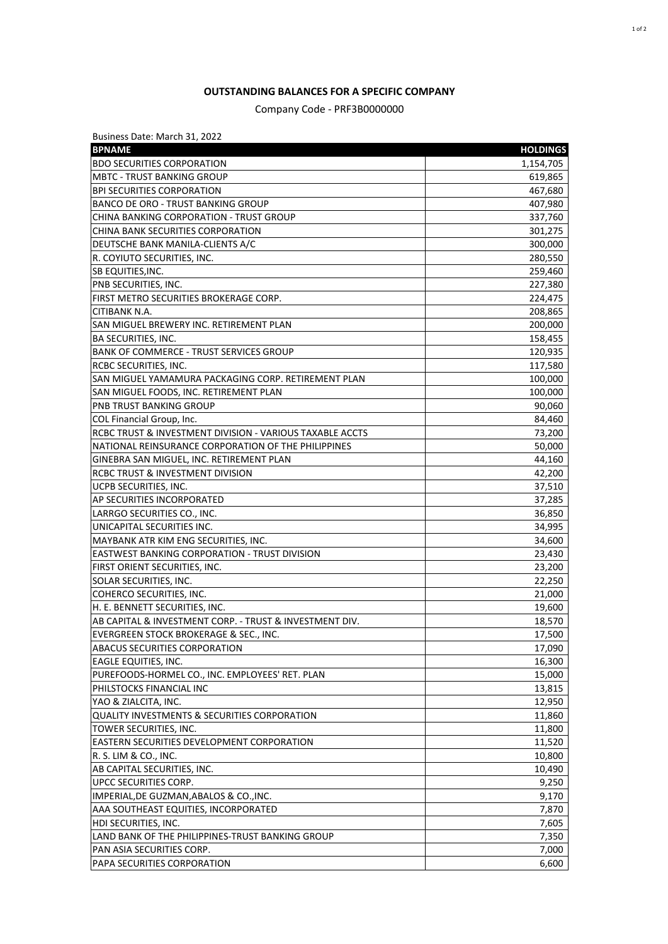## **OUTSTANDING BALANCES FOR A SPECIFIC COMPANY**

Company Code - PRF3B0000000

| Business Date: March 31, 2022                            |                 |
|----------------------------------------------------------|-----------------|
| <b>BPNAME</b>                                            | <b>HOLDINGS</b> |
| <b>BDO SECURITIES CORPORATION</b>                        | 1,154,705       |
| <b>MBTC - TRUST BANKING GROUP</b>                        | 619,865         |
| <b>BPI SECURITIES CORPORATION</b>                        | 467,680         |
| <b>BANCO DE ORO - TRUST BANKING GROUP</b>                | 407,980         |
| CHINA BANKING CORPORATION - TRUST GROUP                  | 337,760         |
| CHINA BANK SECURITIES CORPORATION                        | 301,275         |
| DEUTSCHE BANK MANILA-CLIENTS A/C                         | 300,000         |
| R. COYIUTO SECURITIES, INC.                              | 280,550         |
| <b>SB EQUITIES, INC.</b>                                 | 259,460         |
| PNB SECURITIES, INC.                                     | 227,380         |
| FIRST METRO SECURITIES BROKERAGE CORP.                   | 224,475         |
| CITIBANK N.A.                                            | 208,865         |
| SAN MIGUEL BREWERY INC. RETIREMENT PLAN                  | 200,000         |
| <b>BA SECURITIES, INC.</b>                               | 158,455         |
| <b>BANK OF COMMERCE - TRUST SERVICES GROUP</b>           | 120,935         |
| RCBC SECURITIES, INC.                                    | 117,580         |
| SAN MIGUEL YAMAMURA PACKAGING CORP. RETIREMENT PLAN      | 100,000         |
| SAN MIGUEL FOODS, INC. RETIREMENT PLAN                   | 100,000         |
| PNB TRUST BANKING GROUP                                  | 90,060          |
| COL Financial Group, Inc.                                | 84,460          |
| RCBC TRUST & INVESTMENT DIVISION - VARIOUS TAXABLE ACCTS | 73,200          |
| NATIONAL REINSURANCE CORPORATION OF THE PHILIPPINES      | 50,000          |
| GINEBRA SAN MIGUEL, INC. RETIREMENT PLAN                 | 44,160          |
| RCBC TRUST & INVESTMENT DIVISION                         | 42,200          |
| UCPB SECURITIES, INC.                                    | 37,510          |
| AP SECURITIES INCORPORATED                               | 37,285          |
| LARRGO SECURITIES CO., INC.                              | 36,850          |
| UNICAPITAL SECURITIES INC.                               | 34,995          |
| MAYBANK ATR KIM ENG SECURITIES, INC.                     | 34,600          |
| EASTWEST BANKING CORPORATION - TRUST DIVISION            | 23,430          |
| FIRST ORIENT SECURITIES, INC.                            | 23,200          |
| SOLAR SECURITIES, INC.                                   | 22,250          |
| COHERCO SECURITIES, INC.                                 | 21,000          |
| H. E. BENNETT SECURITIES, INC.                           | 19,600          |
| AB CAPITAL & INVESTMENT CORP. - TRUST & INVESTMENT DIV.  | 18,570          |
| EVERGREEN STOCK BROKERAGE & SEC., INC.                   | 17,500          |
| ABACUS SECURITIES CORPORATION                            | 17,090          |
| EAGLE EQUITIES, INC.                                     | 16,300          |
| PUREFOODS-HORMEL CO., INC. EMPLOYEES' RET. PLAN          | 15,000          |
| PHILSTOCKS FINANCIAL INC                                 | 13,815          |
| YAO & ZIALCITA, INC.                                     | 12,950          |
| <b>QUALITY INVESTMENTS &amp; SECURITIES CORPORATION</b>  | 11,860          |
| TOWER SECURITIES, INC.                                   | 11,800          |
| EASTERN SECURITIES DEVELOPMENT CORPORATION               | 11,520          |
| R. S. LIM & CO., INC.                                    | 10,800          |
| AB CAPITAL SECURITIES, INC.                              | 10,490          |
| UPCC SECURITIES CORP.                                    | 9,250           |
|                                                          |                 |
| IMPERIAL, DE GUZMAN, ABALOS & CO., INC.                  | 9,170           |
| AAA SOUTHEAST EQUITIES, INCORPORATED                     | 7,870           |
| HDI SECURITIES, INC.                                     | 7,605           |
| LAND BANK OF THE PHILIPPINES-TRUST BANKING GROUP         | 7,350           |
| PAN ASIA SECURITIES CORP.                                | 7,000           |
| PAPA SECURITIES CORPORATION                              | 6,600           |